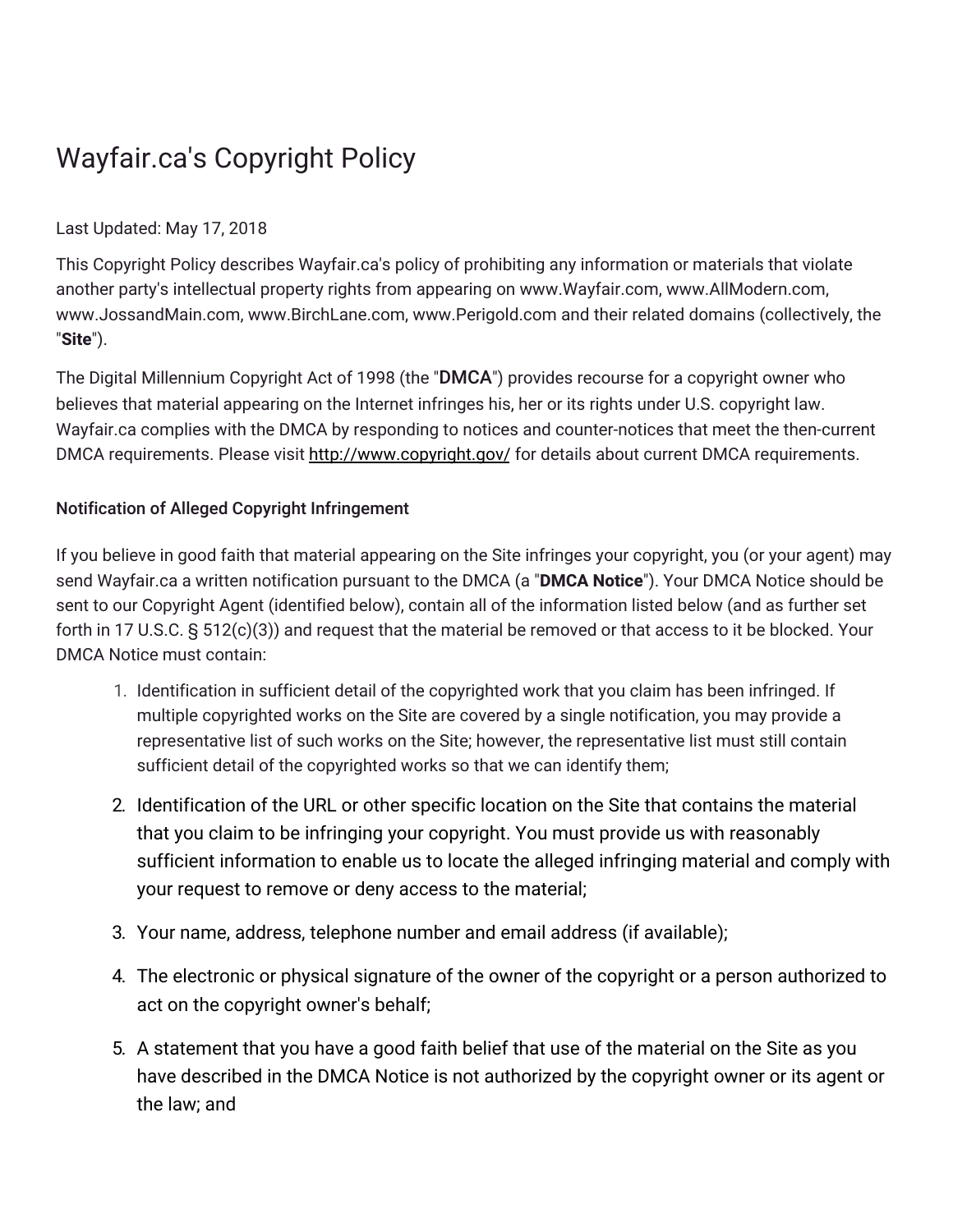## Wayfair.ca's Copyright Policy

## Last Updated: May 17, 2018

This Copyright Policy describes Wayfair.ca's policy of prohibiting any information or materials that violate another party's intellectual property rights from appearing on www.Wayfair.com, www.AllModern.com, www.JossandMain.com, www.BirchLane.com, www.Perigold.com and their related domains (collectively, the "**Site**").

The Digital Millennium Copyright Act of 1998 (the "DMCA") provides recourse for a copyright owner who believes that material appearing on the Internet infringes his, her or its rights under U.S. copyright law. Wayfair.ca complies with the DMCA by responding to notices and counter-notices that meet the then-current DMCA requirements. Please visit <http://www.copyright.gov/> for details about current DMCA requirements.

## Notification of Alleged Copyright Infringement

If you believe in good faith that material appearing on the Site infringes your copyright, you (or your agent) may send Wayfair.ca a written notification pursuant to the DMCA (a "**DMCA Notice**"). Your DMCA Notice should be sent to our Copyright Agent (identified below), contain all of the information listed below (and as further set forth in 17 U.S.C. § 512(c)(3)) and request that the material be removed or that access to it be blocked. Your DMCA Notice must contain:

- 1. Identification in sufficient detail of the copyrighted work that you claim has been infringed. If multiple copyrighted works on the Site are covered by a single notification, you may provide a representative list of such works on the Site; however, the representative list must still contain sufficient detail of the copyrighted works so that we can identify them;
- 2. Identification of the URL or other specific location on the Site that contains the material that you claim to be infringing your copyright. You must provide us with reasonably sufficient information to enable us to locate the alleged infringing material and comply with your request to remove or deny access to the material;
- 3. Your name, address, telephone number and email address (if available);
- 4. The electronic or physical signature of the owner of the copyright or a person authorized to act on the copyright owner's behalf;
- 5. A statement that you have a good faith belief that use of the material on the Site as you have described in the DMCA Notice is not authorized by the copyright owner or its agent or the law; and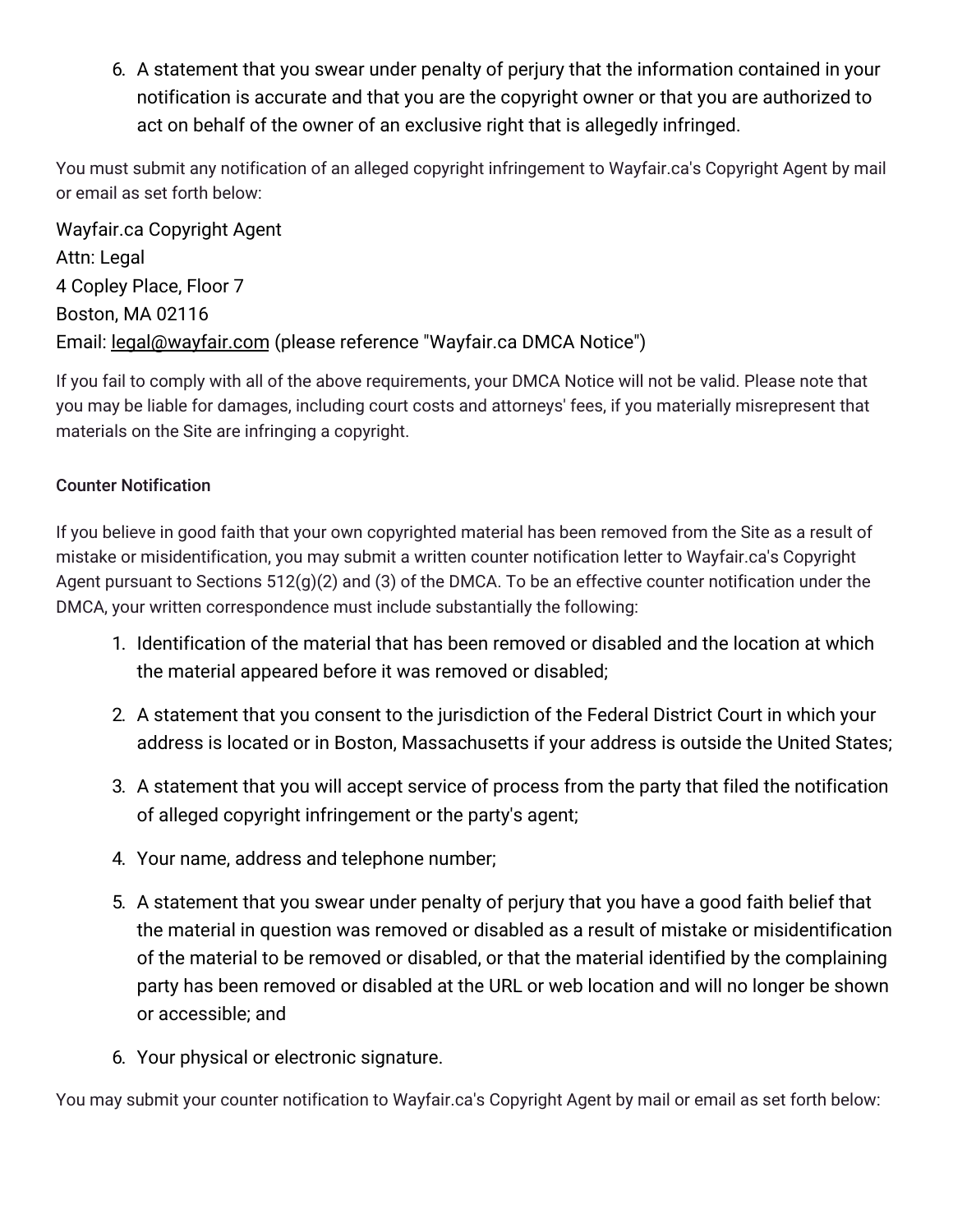6. A statement that you swear under penalty of perjury that the information contained in your notification is accurate and that you are the copyright owner or that you are authorized to act on behalf of the owner of an exclusive right that is allegedly infringed.

You must submit any notification of an alleged copyright infringement to Wayfair.ca's Copyright Agent by mail or email as set forth below:

Wayfair.ca Copyright Agent Attn: Legal 4 Copley Place, Floor 7 Boston, MA 02116 Email: [legal@wayfair.com](mailto:legal@wayfair.com) (please reference "Wayfair.ca DMCA Notice")

If you fail to comply with all of the above requirements, your DMCA Notice will not be valid. Please note that you may be liable for damages, including court costs and attorneys' fees, if you materially misrepresent that materials on the Site are infringing a copyright.

## Counter Notification

If you believe in good faith that your own copyrighted material has been removed from the Site as a result of mistake or misidentification, you may submit a written counter notification letter to Wayfair.ca's Copyright Agent pursuant to Sections 512(g)(2) and (3) of the DMCA. To be an effective counter notification under the DMCA, your written correspondence must include substantially the following:

- 1. Identification of the material that has been removed or disabled and the location at which the material appeared before it was removed or disabled;
- 2. A statement that you consent to the jurisdiction of the Federal District Court in which your address is located or in Boston, Massachusetts if your address is outside the United States;
- 3. A statement that you will accept service of process from the party that filed the notification of alleged copyright infringement or the party's agent;
- 4. Your name, address and telephone number;
- 5. A statement that you swear under penalty of perjury that you have a good faith belief that the material in question was removed or disabled as a result of mistake or misidentification of the material to be removed or disabled, or that the material identified by the complaining party has been removed or disabled at the URL or web location and will no longer be shown or accessible; and
- 6. Your physical or electronic signature.

You may submit your counter notification to Wayfair.ca's Copyright Agent by mail or email as set forth below: